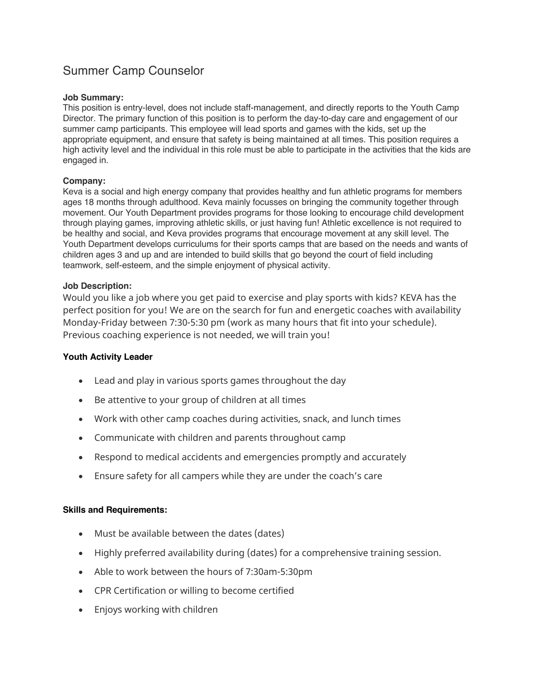# Summer Camp Counselor

## **Job Summary:**

This position is entry-level, does not include staff-management, and directly reports to the Youth Camp Director. The primary function of this position is to perform the day-to-day care and engagement of our summer camp participants. This employee will lead sports and games with the kids, set up the appropriate equipment, and ensure that safety is being maintained at all times. This position requires a high activity level and the individual in this role must be able to participate in the activities that the kids are engaged in.

## **Company:**

Keva is a social and high energy company that provides healthy and fun athletic programs for members ages 18 months through adulthood. Keva mainly focusses on bringing the community together through movement. Our Youth Department provides programs for those looking to encourage child development through playing games, improving athletic skills, or just having fun! Athletic excellence is not required to be healthy and social, and Keva provides programs that encourage movement at any skill level. The Youth Department develops curriculums for their sports camps that are based on the needs and wants of children ages 3 and up and are intended to build skills that go beyond the court of field including teamwork, self-esteem, and the simple enjoyment of physical activity.

### **Job Description:**

Would you like a job where you get paid to exercise and play sports with kids? KEVA has the perfect position for you! We are on the search for fun and energetic coaches with availability Monday-Friday between 7:30-5:30 pm (work as many hours that fit into your schedule). Previous coaching experience is not needed, we will train you!

#### **Youth Activity Leader**

- Lead and play in various sports games throughout the day
- Be attentive to your group of children at all times
- Work with other camp coaches during activities, snack, and lunch times
- Communicate with children and parents throughout camp
- Respond to medical accidents and emergencies promptly and accurately
- Ensure safety for all campers while they are under the coach's care

### **Skills and Requirements:**

- Must be available between the dates (dates)
- Highly preferred availability during (dates) for a comprehensive training session.
- Able to work between the hours of 7:30am-5:30pm
- CPR Certification or willing to become certified
- Enjoys working with children